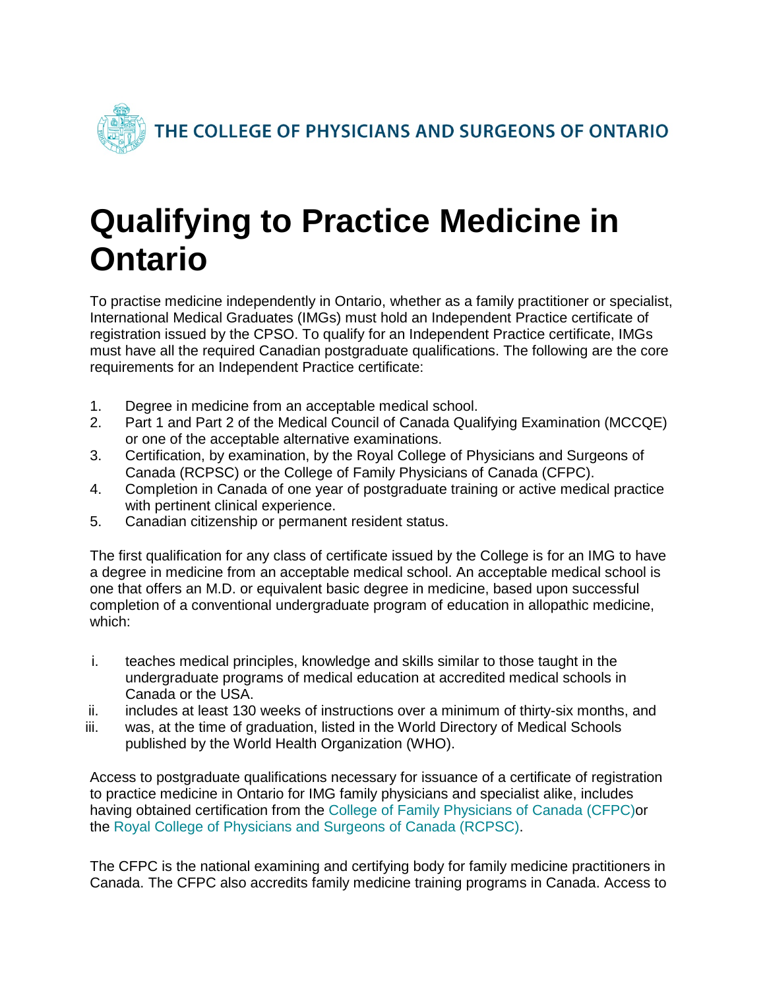

## **Qualifying to Practice Medicine in Ontario**

To practise medicine independently in Ontario, whether as a family practitioner or specialist, International Medical Graduates (IMGs) must hold an Independent Practice certificate of registration issued by the CPSO. To qualify for an Independent Practice certificate, IMGs must have all the required Canadian postgraduate qualifications. The following are the core requirements for an Independent Practice certificate:

- 1. Degree in medicine from an acceptable medical school.
- 2. Part 1 and Part 2 of the Medical Council of Canada Qualifying Examination (MCCQE) or one of the acceptable alternative examinations.
- 3. Certification, by examination, by the Royal College of Physicians and Surgeons of Canada (RCPSC) or the College of Family Physicians of Canada (CFPC).
- 4. Completion in Canada of one year of postgraduate training or active medical practice with pertinent clinical experience.
- 5. Canadian citizenship or permanent resident status.

The first qualification for any class of certificate issued by the College is for an IMG to have a degree in medicine from an acceptable medical school. An acceptable medical school is one that offers an M.D. or equivalent basic degree in medicine, based upon successful completion of a conventional undergraduate program of education in allopathic medicine, which:

- i. teaches medical principles, knowledge and skills similar to those taught in the undergraduate programs of medical education at accredited medical schools in Canada or the USA.
- ii. includes at least 130 weeks of instructions over a minimum of thirty-six months, and
- iii. was, at the time of graduation, listed in the World Directory of Medical Schools published by the World Health Organization (WHO).

Access to postgraduate qualifications necessary for issuance of a certificate of registration to practice medicine in Ontario for IMG family physicians and specialist alike, includes having obtained certification from the [College of Family Physicians of Canada](https://www.cfpc.ca/Home/) (CFPC)or the [Royal College of Physicians and Surgeons of Canada \(RCPSC\).](http://www.royalcollege.ca/rcsite/home-e)

The CFPC is the national examining and certifying body for family medicine practitioners in Canada. The CFPC also accredits family medicine training programs in Canada. Access to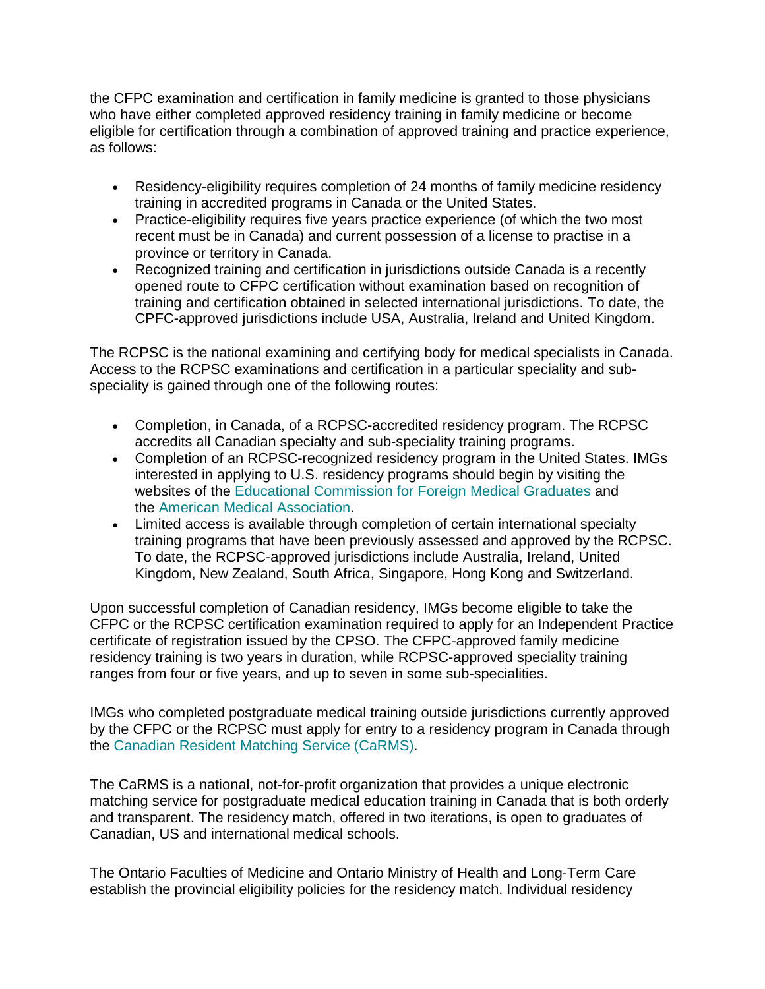the CFPC examination and certification in family medicine is granted to those physicians who have either completed approved residency training in family medicine or become eligible for certification through a combination of approved training and practice experience, as follows:

- Residency-eligibility requires completion of 24 months of family medicine residency training in accredited programs in Canada or the United States.
- Practice-eligibility requires five years practice experience (of which the two most recent must be in Canada) and current possession of a license to practise in a province or territory in Canada.
- Recognized training and certification in jurisdictions outside Canada is a recently opened route to CFPC certification without examination based on recognition of training and certification obtained in selected international jurisdictions. To date, the CPFC-approved jurisdictions include USA, Australia, Ireland and United Kingdom.

The RCPSC is the national examining and certifying body for medical specialists in Canada. Access to the RCPSC examinations and certification in a particular speciality and subspeciality is gained through one of the following routes:

- Completion, in Canada, of a RCPSC-accredited residency program. The RCPSC accredits all Canadian specialty and sub-speciality training programs.
- Completion of an RCPSC-recognized residency program in the United States. IMGs interested in applying to U.S. residency programs should begin by visiting the websites of the [Educational Commission for Foreign Medical Graduates](https://www.ecfmg.org/) and the [American Medical Association.](https://www.ama-assn.org/)
- Limited access is available through completion of certain international specialty training programs that have been previously assessed and approved by the RCPSC. To date, the RCPSC-approved jurisdictions include Australia, Ireland, United Kingdom, New Zealand, South Africa, Singapore, Hong Kong and Switzerland.

Upon successful completion of Canadian residency, IMGs become eligible to take the CFPC or the RCPSC certification examination required to apply for an Independent Practice certificate of registration issued by the CPSO. The CFPC-approved family medicine residency training is two years in duration, while RCPSC-approved speciality training ranges from four or five years, and up to seven in some sub-specialities.

IMGs who completed postgraduate medical training outside jurisdictions currently approved by the CFPC or the RCPSC must apply for entry to a residency program in Canada through the [Canadian Resident Matching Service \(CaRMS\).](https://www.carms.ca/)

The CaRMS is a national, not-for-profit organization that provides a unique electronic matching service for postgraduate medical education training in Canada that is both orderly and transparent. The residency match, offered in two iterations, is open to graduates of Canadian, US and international medical schools.

The Ontario Faculties of Medicine and Ontario Ministry of Health and Long-Term Care establish the provincial eligibility policies for the residency match. Individual residency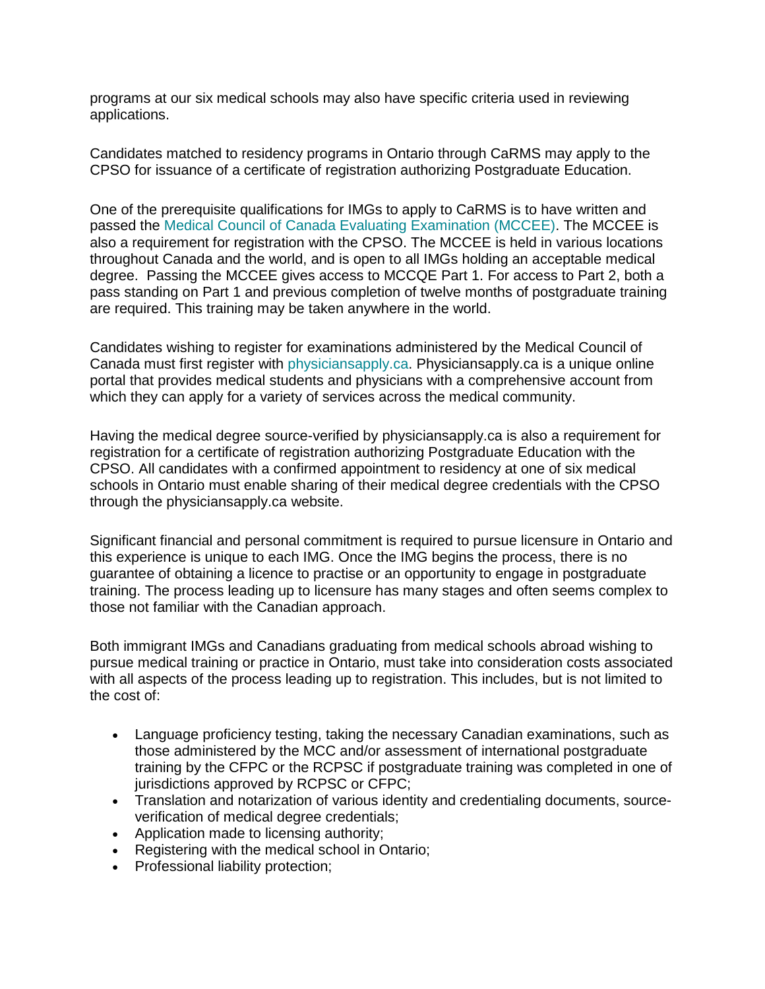programs at our six medical schools may also have specific criteria used in reviewing applications.

Candidates matched to residency programs in Ontario through CaRMS may apply to the CPSO for issuance of a certificate of registration authorizing Postgraduate Education.

One of the prerequisite qualifications for IMGs to apply to CaRMS is to have written and passed the [Medical Council of Canada Evaluating Examination \(MCCEE\).](https://mcc.ca/examinations/mccee/) The MCCEE is also a requirement for registration with the CPSO. The MCCEE is held in various locations throughout Canada and the world, and is open to all IMGs holding an acceptable medical degree. Passing the MCCEE gives access to MCCQE Part 1. For access to Part 2, both a pass standing on Part 1 and previous completion of twelve months of postgraduate training are required. This training may be taken anywhere in the world.

Candidates wishing to register for examinations administered by the Medical Council of Canada must first register with [physiciansapply.ca.](https://physiciansapply.ca/) Physiciansapply.ca is a unique online portal that provides medical students and physicians with a comprehensive account from which they can apply for a variety of services across the medical community.

Having the medical degree source-verified by physiciansapply.ca is also a requirement for registration for a certificate of registration authorizing Postgraduate Education with the CPSO. All candidates with a confirmed appointment to residency at one of six medical schools in Ontario must enable sharing of their medical degree credentials with the CPSO through the physiciansapply.ca website.

Significant financial and personal commitment is required to pursue licensure in Ontario and this experience is unique to each IMG. Once the IMG begins the process, there is no guarantee of obtaining a licence to practise or an opportunity to engage in postgraduate training. The process leading up to licensure has many stages and often seems complex to those not familiar with the Canadian approach.

Both immigrant IMGs and Canadians graduating from medical schools abroad wishing to pursue medical training or practice in Ontario, must take into consideration costs associated with all aspects of the process leading up to registration. This includes, but is not limited to the cost of:

- Language proficiency testing, taking the necessary Canadian examinations, such as those administered by the MCC and/or assessment of international postgraduate training by the CFPC or the RCPSC if postgraduate training was completed in one of jurisdictions approved by RCPSC or CFPC;
- Translation and notarization of various identity and credentialing documents, sourceverification of medical degree credentials;
- Application made to licensing authority;
- Registering with the medical school in Ontario;
- Professional liability protection;